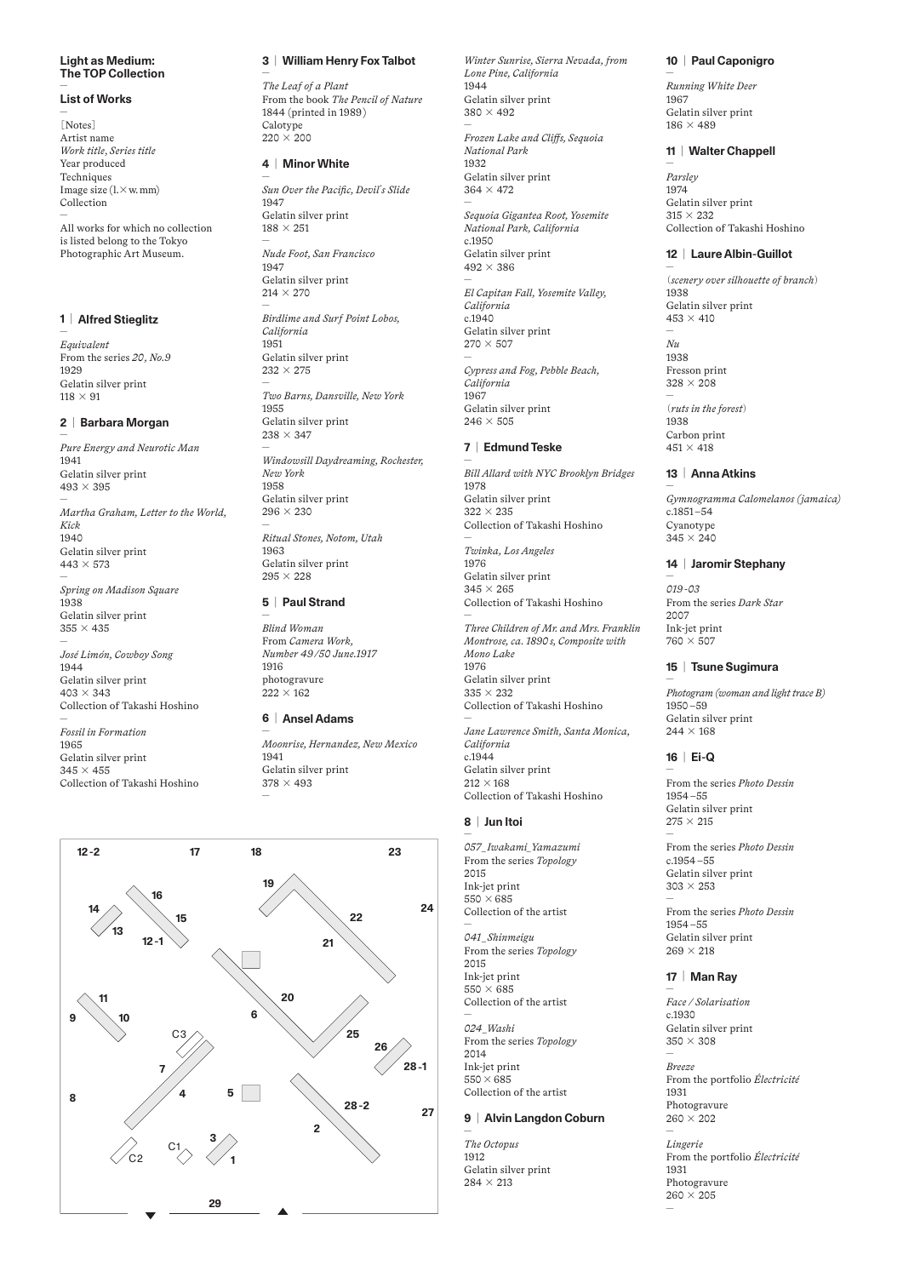#### **Light as Medium: The TOP Collection** ─

## **List of Works**

─ [Notes] Artist name *Work title*, *Series title* Year produced **Techniques** Image size (l.×w. mm) Collection ─ All works for which no collection is listed belong to the Tokyo Photographic Art Museum.

## **1│Alfred Stieglitz**

─

*Equivalent* From the series *20, No.9* 1929 Gelatin silver print  $118 \times 91$ 

## **2│Barbara Morgan**

─ Pure *Energy* and Neurotic Man 1941 Gelatin silver print  $493 \times 395$ ─ *Martha Graham, Letter to the World, Kick* 1940 Gelatin silver print  $443 \times 573$ ─

*Spring on Madison Square* 1938 Gelatin silver print  $355 \times 435$ ─ *José Limón, Cowboy Song* 1944 Gelatin silver print  $403 \times 343$ Collection of Takashi Hoshino

─ *Fossil in Formation* 1965 Gelatin silver print  $345 \times 455$ Collection of Takashi Hoshino

## **3│William Henry Fox Talbot**

─ *The Leaf of a Plant* From the book *The Pencil of Nature* 1844 (printed in 1989) Calotype  $220 \times 200$ 

## **4│Minor White**

─ *Sun Over the Pacic, Devil*'*s Slide* 1947 Gelatin silver print

─ *Nude Foot, San Francisco* 1947 Gelatin silver print  $214 \times 270$ 

 $188 \times 251$ 

─ *Birdlime and Surf Point Lobos, California* 1951 Gelatin silver print  $232 \times 275$ ─ *Two Barns, Dansville, New York* 1955 Gelatin silver print  $238 \times 347$ ─

*Windowsill Daydreaming, Rochester, New York* 1958 Gelatin silver print  $296 \times 230$ 

─ *Ritual Stones, Notom, Utah* 1963 Gelatin silver print  $295 \times 228$ 

## **5│Paul Strand**

─

─

*Blind Woman* From *Camera Work, Number 49 /50 June.1917* 1916 photogravure  $222 \times 162$ 

## **6│Ansel Adams**

─ *Moonrise, Hernandez, New Mexico* 1941 Gelatin silver print  $378 \times 493$ 



*Winter Sunrise, Sierra Nevada, from Lone Pine, California* 1944 Gelatin silver print  $380 \times 492$ ─

*Frozen Lake and Clis, Sequoia National Park* 1932 Gelatin silver print

 $364 \times 472$ ─ *Sequoia Gigantea Root, Yosemite National Park, California*  $c.1950$ Gelatin silver print

 $492 \times 386$ 

─ *El Capitan Fall, Yosemite Valley, California* c.1940 Gelatin silver print  $270 \times 507$ ─ *Cypress and Fog, Pebble Beach, California* 1967 Gelatin silver print

 $246 \times 505$ 

## **7│Edmund Teske**

─ *Bill Allard with NYC Brooklyn Bridges* 1978 Gelatin silver print  $322 \times 235$ Collection of Takashi Hoshino ─

*Twinka, Los Angeles* 1976 Gelatin silver print  $345 \times 265$ Collection of Takashi Hoshino

─ *Three Children of Mr. and Mrs. Franklin Montrose, ca. 1890 s, Composite with Mono Lake* 1976 Gelatin silver print 335 × 232 Collection of Takashi Hoshino

─ *Jane Lawrence Smith, Santa Monica, California* c.1944 Gelatin silver print  $212 \times 168$ Collection of Takashi Hoshino

## **8│Jun Itoi**

─ *057 \_Iwakami\_Yamazumi* From the series *Topology* 2015 Ink-jet print  $550 \times 685$ Collection of the artist

─ *041 \_Shinmeigu* From the series *Topology* 2015 Ink-jet print  $550 \times 685$ 

Collection of the artist ─ *024 \_Washi* From the series *Topology* 2014

Ink-jet print 550×685 Collection of the artist

## **9│Alvin Langdon Coburn**

─ *The Octopus* 1912 Gelatin silver print  $284 \times 213$ 

## **10│Paul Caponigro**

─ *Running White Deer* 1967 Gelatin silver print  $186 \times 489$ 

## **11│Walter Chappell**

─

*Parsley* 1974 Gelatin silver print  $315 \times 232$ Collection of Takashi Hoshino

## **12│Laure Albin-Guillot**

─ (*scenery over silhouette of branch*) 1938 Gelatin silver print  $453 \times 410$ 

─ *Nu* 1938 Fresson print  $328 \times 208$ 

─ (*ruts in the forest*) 1938 Carbon print  $451 \times 418$ 

## **13│Anna Atkins**

─ *Gymnogramma Calomelanos (jamaica)*  $c.1851 - 54$ Cyanotype  $345 \times 240$ 

### **14│Jaromir Stephany**

─ *019 -03* From the series *Dark Star* 2007 Ink-jet print  $760 \times 507$ 

### **15│Tsune Sugimura**

─ *Photogram (woman and light trace B)* 1950 –59 Gelatin silver print  $244 \times 168$ 

## **16│Ei-Q**

─

From the series *Photo Dessin* 1954 –55 Gelatin silver print  $275 \times 215$ ─

From the series *Photo Dessin* c.1954 –55 Gelatin silver print  $303 \times 253$ 

─ From the series *Photo Dessin* 1954 –55 Gelatin silver print  $269 \times 218$ 

# **17│Man Ray**

─

─

─ *Face / Solarisation* c.1930 Gelatin silver print  $350 \times 308$ ─ *Breeze* From the portfolio *Électricité* 1931 Photogravure  $260 \times 202$ 

*Lingerie* From the portfolio *Électricité* 1931 Photogravure  $260 \times 205$